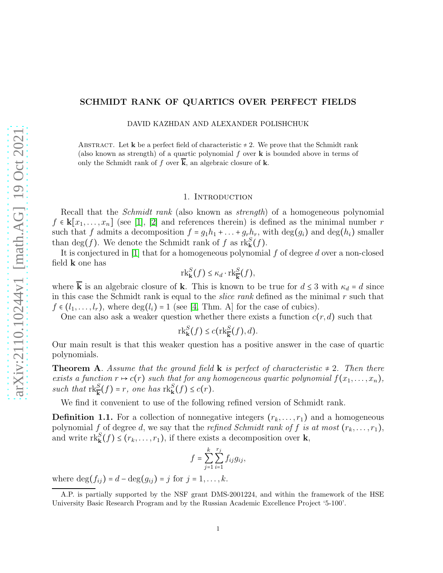# SCHMIDT RANK OF QUARTICS OVER PERFECT FIELDS

DAVID KAZHDAN AND ALEXANDER POLISHCHUK

ABSTRACT. Let **k** be a perfect field of characteristic  $\neq 2$ . We prove that the Schmidt rank (also known as strength) of a quartic polynomial  $f$  over  $\bf{k}$  is bounded above in terms of only the Schmidt rank of f over  $\overline{k}$ , an algebraic closure of k.

### 1. Introduction

Recall that the *Schmidt rank* (also known as *strength*) of a homogeneous polynomial  $f \in \mathbf{k}[x_1,\ldots,x_n]$  (see [\[1\]](#page-11-0), [\[2\]](#page-11-1) and references therein) is defined as the minimal number r such that f admits a decomposition  $f = g_1h_1 + ... + g_rh_r$ , with  $\deg(g_i)$  and  $\deg(h_i)$  smaller than  $\deg(f)$ . We denote the Schmidt rank of f as  $\text{rk}_{\mathbf{k}}^S(f)$ .

It is conjectured in  $[1]$  that for a homogeneous polynomial f of degree d over a non-closed field k one has

$$
\mathrm{rk}_{\mathbf{k}}^{S}(f) \leq \kappa_d \cdot \mathrm{rk}_{\overline{\mathbf{k}}}^{S}(f),
$$

where  $\overline{\mathbf{k}}$  is an algebraic closure of **k**. This is known to be true for  $d \leq 3$  with  $\kappa_d = d$  since in this case the Schmidt rank is equal to the *slice rank* defined as the minimal  $r$  such that  $f \in (l_1, \ldots, l_r)$ , where  $\deg(l_i) = 1$  (see [\[4,](#page-11-2) Thm. A] for the case of cubics).

One can also ask a weaker question whether there exists a function  $c(r, d)$  such that

$$
\mathrm{rk}_{\mathbf{k}}^{S}(f) \leq c(\mathrm{rk}_{\overline{\mathbf{k}}}^{S}(f),d).
$$

Our main result is that this weaker question has a positive answer in the case of quartic polynomials.

**Theorem A.** Assume that the ground field **k** is perfect of characteristic  $\neq 2$ . Then there exists a function  $r \mapsto c(r)$  such that for any homogeneous quartic polynomial  $f(x_1, \ldots, x_n)$ , such that  $\text{rk}_{\mathbf{k}}^S(f) = r$ , one has  $\text{rk}_{\mathbf{k}}^S(f) \leq c(r)$ .

We find it convenient to use of the following refined version of Schmidt rank.

**Definition 1.1.** For a collection of nonnegative integers  $(r_k, \ldots, r_1)$  and a homogeneous polynomial f of degree d, we say that the refined Schmidt rank of f is at most  $(r_k, \ldots, r_1)$ , and write  $\text{rk}_{\mathbf{k}}^{S}(f) \leq (r_{k}, \ldots, r_{1}),$  if there exists a decomposition over  $\mathbf{k},$ 

$$
f = \sum_{j=1}^{k} \sum_{i=1}^{r_j} f_{ij} g_{ij},
$$

where  $deg(f_{ij}) = d - deg(g_{ij}) = j$  for  $j = 1, ..., k$ .

A.P. is partially supported by the NSF grant DMS-2001224, and within the framework of the HSE University Basic Research Program and by the Russian Academic Excellence Project '5-100'.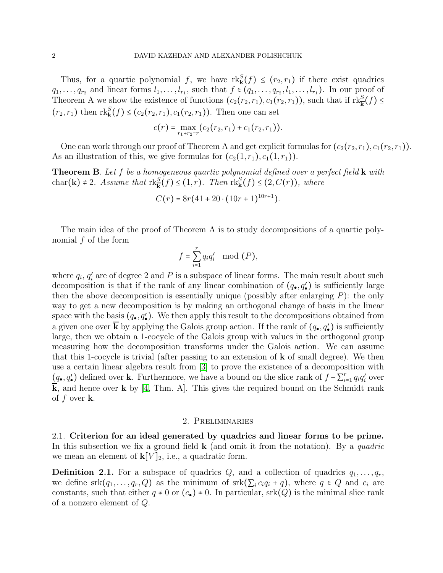Thus, for a quartic polynomial f, we have  $\text{rk}_{\mathbf{k}}^{S}(f) \leq (r_2, r_1)$  if there exist quadrics  $q_1, \ldots, q_{r_2}$  and linear forms  $l_1, \ldots, l_{r_1}$ , such that  $f \in (q_1, \ldots, q_{r_2}, l_1, \ldots, l_{r_1})$ . In our proof of Theorem A we show the existence of functions  $(c_2(r_2, r_1), c_1(r_2, r_1))$ , such that if  $\text{rk}_{\mathbf{k}}^S(f) \leq$  $(r_2, r_1)$  then  $\mathrm{rk}_{\mathbf{k}}^S(f) \leq (c_2(r_2, r_1), c_1(r_2, r_1)).$  Then one can set

$$
c(r) = \max_{r_1+r_2=r} (c_2(r_2,r_1) + c_1(r_2,r_1)).
$$

One can work through our proof of Theorem A and get explicit formulas for  $(c_2(r_2, r_1), c_1(r_2, r_1))$ . As an illustration of this, we give formulas for  $(c_2(1, r_1), c_1(1, r_1)).$ 

**Theorem B.** Let f be a homogeneous quartic polynomial defined over a perfect field  $\bf{k}$  with char(**k**)  $\neq$  2. Assume that  $\text{rk}_{\mathbf{k}}^{S}(f) \leq (1,r)$ . Then  $\text{rk}_{\mathbf{k}}^{S}(f) \leq (2, C(r))$ , where

$$
C(r) = 8r(41 + 20 \cdot (10r + 1)^{10r+1}).
$$

The main idea of the proof of Theorem A is to study decompositions of a quartic polynomial f of the form

$$
f = \sum_{i=1}^r q_i q'_i \mod (P),
$$

where  $q_i$ ,  $q'_i$  are of degree 2 and P is a subspace of linear forms. The main result about such decomposition is that if the rank of any linear combination of  $(q_{\bullet}, q'_{\bullet})$  is sufficiently large then the above decomposition is essentially unique (possibly after enlarging  $P$ ): the only way to get a new decomposition is by making an orthogonal change of basis in the linear space with the basis  $(q_{\bullet}, q'_{\bullet})$ . We then apply this result to the decompositions obtained from a given one over **k** by applying the Galois group action. If the rank of  $(q_{\bullet}, q'_{\bullet})$  is sufficiently large, then we obtain a 1-cocycle of the Galois group with values in the orthogonal group measuring how the decomposition transforms under the Galois action. We can assume that this 1-cocycle is trivial (after passing to an extension of  $k$  of small degree). We then use a certain linear algebra result from [\[3\]](#page-11-3) to prove the existence of a decomposition with (*q*•, *q*′) defined over **k**. Furthermore, we have a bound on the slice rank of  $f - \sum_{i=1}^{r} q_i q'_i$  over  $\overline{k}$ , and hence over k by [\[4,](#page-11-2) Thm. A]. This gives the required bound on the Schmidt rank of f over  $k$ .

#### 2. Preliminaries

2.1. Criterion for an ideal generated by quadrics and linear forms to be prime. In this subsection we fix a ground field  $\bf{k}$  (and omit it from the notation). By a quadric we mean an element of  $\mathbf{k}[V]_2$ , i.e., a quadratic form.

**Definition 2.1.** For a subspace of quadrics  $Q$ , and a collection of quadrics  $q_1, \ldots, q_r$ we define  $srk(q_1,\ldots,q_r,Q)$  as the minimum of  $srk(\sum_ic_iq_i+q)$ , where  $q \in Q$  and  $c_i$  are constants, such that either  $q \neq 0$  or  $(c_{\bullet}) \neq 0$ . In particular, srk $(Q)$  is the minimal slice rank of a nonzero element of Q.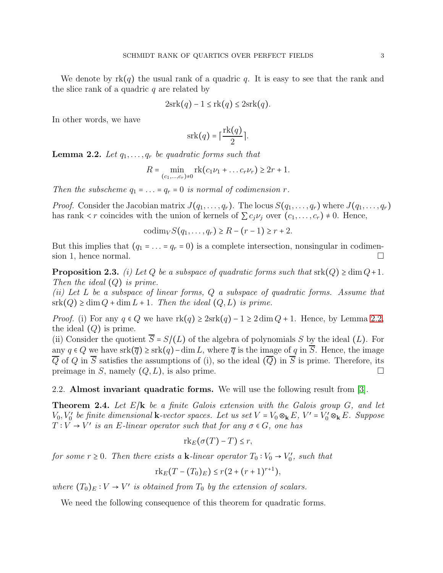We denote by  $rk(q)$  the usual rank of a quadric q. It is easy to see that the rank and the slice rank of a quadric  $q$  are related by

$$
2\operatorname{srk}(q) - 1 \le \operatorname{rk}(q) \le 2\operatorname{srk}(q).
$$

In other words, we have

$$
srk(q) = \lceil \frac{rk(q)}{2} \rceil.
$$

<span id="page-2-0"></span>**Lemma 2.2.** Let  $q_1, \ldots, q_r$  be quadratic forms such that

$$
R = \min_{(c_1, ..., c_r) \neq 0} \text{rk}(c_1 \nu_1 + ... c_r \nu_r) \geq 2r + 1.
$$

Then the subscheme  $q_1 = \ldots = q_r = 0$  is normal of codimension r.

*Proof.* Consider the Jacobian matrix  $J(q_1, \ldots, q_r)$ . The locus  $S(q_1, \ldots, q_r)$  where  $J(q_1, \ldots, q_r)$ has rank  $\langle r \rangle$  coincides with the union of kernels of  $\sum c_i \nu_i$  over  $(c_1, \ldots, c_r) \neq 0$ . Hence,

 $\text{codim}_V S(q_1, ..., q_r) \geq R - (r - 1) \geq r + 2.$ 

But this implies that  $(q_1 = ... = q_r = 0)$  is a complete intersection, nonsingular in codimension 1 hence normal sion 1, hence normal.

**Proposition 2.3.** (i) Let Q be a subspace of quadratic forms such that  $\text{srk}(Q) \geq \dim Q + 1$ . Then the ideal  $(Q)$  is prime.

(ii) Let L be a subspace of linear forms, Q a subspace of quadratic forms. Assume that  $sirk(Q) \geq dim Q + dim L + 1$ . Then the ideal  $(Q, L)$  is prime.

*Proof.* (i) For any  $q \in Q$  we have  $rk(q) \geq 2srk(q) - 1 \geq 2 \dim Q + 1$ . Hence, by Lemma [2.2,](#page-2-0) the ideal  $(Q)$  is prime.

(ii) Consider the quotient  $\overline{S} = S/(L)$  of the algebra of polynomials S by the ideal (L). For any  $q \in Q$  we have  $srk(\overline{q}) \geq sk(q) - \dim L$ , where  $\overline{q}$  is the image of q in  $\overline{S}$ . Hence, the image  $\overline{Q}$  of Q in  $\overline{S}$  satisfies the assumptions of (i), so the ideal  $(\overline{Q})$  in  $\overline{S}$  is prime. Therefore, its preimage in S, namely  $(Q, L)$ , is also prime. preimage in  $S$ , namely  $(Q, L)$ , is also prime.

2.2. Almost invariant quadratic forms. We will use the following result from [\[3\]](#page-11-3).

<span id="page-2-1"></span>**Theorem 2.4.** Let  $E/\mathbf{k}$  be a finite Galois extension with the Galois group G, and let  $V_0, V'_0$  be finite dimensional **k**-vector spaces. Let us set  $V = V_0 \otimes_k E$ ,  $V' = V'_0 \otimes_k E$ . Suppose  $T: V \to V'$  is an E-linear operator such that for any  $\sigma \in G$ , one has

$$
\mathrm{rk}_E(\sigma(T)-T)\leq r,
$$

for some  $r \geq 0$ . Then there exists a **k**-linear operator  $T_0 : V_0 \to V'_0$ , such that

$$
\mathrm{rk}_E(T-(T_0)_E) \le r(2+(r+1)^{r+1}),
$$

where  $(T_0)_E : V \to V'$  is obtained from  $T_0$  by the extension of scalars.

We need the following consequence of this theorem for quadratic forms.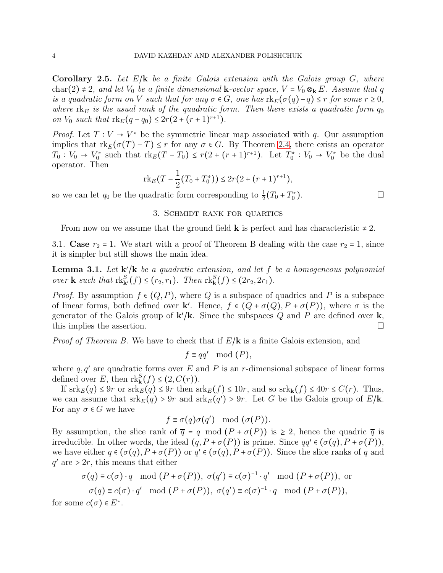<span id="page-3-0"></span>**Corollary 2.5.** Let  $E/\mathbf{k}$  be a finite Galois extension with the Galois group G, where char(2)  $\neq$  2, and let  $V_0$  be a finite dimensional **k**-vector space,  $V = V_0 \otimes_k E$ . Assume that q is a quadratic form on V such that for any  $\sigma \in G$ , one has  $\text{rk}_E(\sigma(q)-q) \leq r$  for some  $r \geq 0$ , where  $rk_E$  is the usual rank of the quadratic form. Then there exists a quadratic form  $q_0$ on  $V_0$  such that  $rk_E(q - q_0) \leq 2r(2 + (r + 1)^{r+1})$ .

*Proof.* Let  $T: V \to V^*$  be the symmetric linear map associated with q. Our assumption implies that  $\text{rk}_E(\sigma(T) - T) \leq r$  for any  $\sigma \in G$ . By Theorem [2.4,](#page-2-1) there exists an operator  $T_0: V_0 \to V_0^*$  such that  $\text{rk}_E(T-T_0) \le r(2+(r+1)^{r+1})$ . Let  $T_0^*: V_0 \to V_0^*$  be the dual operator. Then

$$
\mathrm{rk}_E(T - \frac{1}{2}(T_0 + T_0^*)) \le 2r(2 + (r+1)^{r+1}),
$$

so we can let  $q_0$  be the quadratic form corresponding to  $\frac{1}{2}(T_0 + T_0^*)$  $\Box$ 

#### 3. Schmidt rank for quartics

From now on we assume that the ground field **k** is perfect and has characteristic  $\neq 2$ .

3.1. Case  $r_2 = 1$ . We start with a proof of Theorem B dealing with the case  $r_2 = 1$ , since it is simpler but still shows the main idea.

<span id="page-3-1"></span>**Lemma 3.1.** Let  $\mathbf{k}'/\mathbf{k}$  be a quadratic extension, and let f be a homogeneous polynomial over **k** such that  $\text{rk}_{\mathbf{k}'}^S(f) \leq (r_2, r_1)$ . Then  $\text{rk}_{\mathbf{k}}^S(f) \leq (2r_2, 2r_1)$ .

*Proof.* By assumption  $f \in (Q, P)$ , where Q is a subspace of quadrics and P is a subspace of linear forms, both defined over **k**'. Hence,  $f \in (Q + \sigma(Q), P + \sigma(P))$ , where  $\sigma$  is the generator of the Galois group of  $\mathbf{k'}/\mathbf{k}$ . Since the subspaces Q and P are defined over  $\mathbf{k}$ , this implies the assertion.  $\Box$ 

*Proof of Theorem B.* We have to check that if  $E/\mathbf{k}$  is a finite Galois extension, and

$$
f \equiv qq' \mod (P),
$$

where  $q, q'$  are quadratic forms over E and P is an r-dimensional subspace of linear forms defined over E, then  $\text{rk}_{\mathbf{k}}^{S}(f) \leq (2, C(r)).$ 

If  $srk_E(q) \leq 9r$  or  $srk_E(q) \leq 9r$  then  $srk_E(f) \leq 10r$ , and so  $srk_k(f) \leq 40r \leq C(r)$ . Thus, we can assume that  $\operatorname{srk}_E(q) > 9r$  and  $\operatorname{srk}_E(q') > 9r$ . Let G be the Galois group of  $E/\mathbf{k}$ . For any  $\sigma \in G$  we have

$$
f \equiv \sigma(q)\sigma(q') \mod (\sigma(P)).
$$

By assumption, the slice rank of  $\overline{q} = q \mod (P + \sigma(P))$  is  $\geq 2$ , hence the quadric  $\overline{q}$  is irreducible. In other words, the ideal  $(q, P + \sigma(P))$  is prime. Since  $qq' \in (\sigma(q), P + \sigma(P)),$ we have either  $q \in (\sigma(q), P + \sigma(P))$  or  $q' \in (\sigma(q), P + \sigma(P))$ . Since the slice ranks of q and  $q'$  are  $> 2r$ , this means that either

$$
\sigma(q) \equiv c(\sigma) \cdot q \mod (P + \sigma(P)), \ \sigma(q') \equiv c(\sigma)^{-1} \cdot q' \mod (P + \sigma(P)), \text{ or}
$$

$$
\sigma(q) \equiv c(\sigma) \cdot q' \mod (P + \sigma(P)), \ \sigma(q') \equiv c(\sigma)^{-1} \cdot q \mod (P + \sigma(P)),
$$

for some  $c(\sigma) \in E^*$ .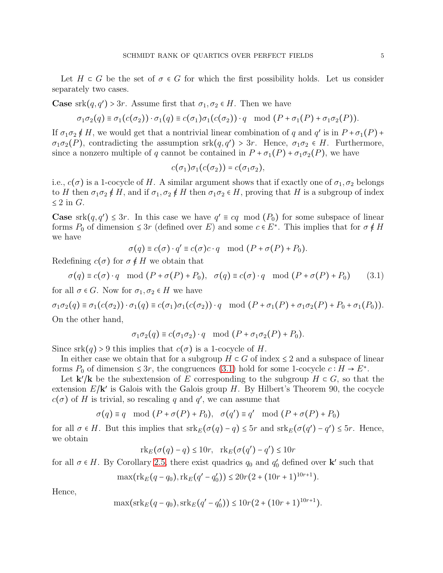Let  $H \subset G$  be the set of  $\sigma \in G$  for which the first possibility holds. Let us consider separately two cases.

**Case** srk $(q, q') > 3r$ . Assume first that  $\sigma_1, \sigma_2 \in H$ . Then we have

$$
\sigma_1 \sigma_2(q) \equiv \sigma_1(c(\sigma_2)) \cdot \sigma_1(q) \equiv c(\sigma_1) \sigma_1(c(\sigma_2)) \cdot q \mod (P + \sigma_1(P) + \sigma_1 \sigma_2(P)).
$$

If  $\sigma_1 \sigma_2 \notin H$ , we would get that a nontrivial linear combination of q and  $q'$  is in  $P + \sigma_1(P) +$  $\sigma_1\sigma_2(P)$ , contradicting the assumption srk $(q, q') > 3r$ . Hence,  $\sigma_1\sigma_2 \in H$ . Furthermore, since a nonzero multiple of q cannot be contained in  $P + \sigma_1(P) + \sigma_1\sigma_2(P)$ , we have

$$
c(\sigma_1)\sigma_1(c(\sigma_2)) = c(\sigma_1\sigma_2),
$$

i.e.,  $c(\sigma)$  is a 1-cocycle of H. A similar argument shows that if exactly one of  $\sigma_1, \sigma_2$  belongs to H then  $\sigma_1\sigma_2 \notin H$ , and if  $\sigma_1, \sigma_2 \notin H$  then  $\sigma_1\sigma_2 \in H$ , proving that H is a subgroup of index  $\leq$  2 in G.

**Case** srk $(q, q') \leq 3r$ . In this case we have  $q' \equiv cq \mod(P_0)$  for some subspace of linear forms  $P_0$  of dimension  $\leq 3r$  (defined over E) and some  $c \in E^*$ . This implies that for  $\sigma \notin H$ we have

$$
\sigma(q) \equiv c(\sigma) \cdot q' \equiv c(\sigma)c \cdot q \mod (P + \sigma(P) + P_0).
$$

Redefining  $c(\sigma)$  for  $\sigma \notin H$  we obtain that

<span id="page-4-0"></span>
$$
\sigma(q) \equiv c(\sigma) \cdot q \mod (P + \sigma(P) + P_0), \quad \sigma(q) \equiv c(\sigma) \cdot q \mod (P + \sigma(P) + P_0) \tag{3.1}
$$

for all  $\sigma \in G$ . Now for  $\sigma_1, \sigma_2 \in H$  we have

 $\sigma_1\sigma_2(q) \equiv \sigma_1(c(\sigma_2)) \cdot \sigma_1(q) \equiv c(\sigma_1)\sigma_1(c(\sigma_2)) \cdot q \mod (P + \sigma_1(P) + \sigma_1\sigma_2(P) + P_0 + \sigma_1(P_0)).$ On the other hand,

$$
\sigma_1 \sigma_2(q) \equiv c(\sigma_1 \sigma_2) \cdot q \mod (P + \sigma_1 \sigma_2(P) + P_0).
$$

Since  $srk(q) > 9$  this implies that  $c(\sigma)$  is a 1-cocycle of H.

In either case we obtain that for a subgroup  $H \subset G$  of index  $\leq 2$  and a subspace of linear forms  $P_0$  of dimension  $\leq 3r$ , the congruences [\(3.1\)](#page-4-0) hold for some 1-cocycle  $c : H \to E^*$ .

Let  $\mathbf{k}'/\mathbf{k}$  be the subextension of E corresponding to the subgroup  $H \subset G$ , so that the extension  $E/\mathbf{k}'$  is Galois with the Galois group H. By Hilbert's Theorem 90, the cocycle  $c(\sigma)$  of H is trivial, so rescaling q and q', we can assume that

$$
\sigma(q) \equiv q \mod (P + \sigma(P) + P_0), \quad \sigma(q') \equiv q' \mod (P + \sigma(P) + P_0)
$$

for all  $\sigma \in H$ . But this implies that  $\operatorname{srk}_E(\sigma(q) - q) \le 5r$  and  $\operatorname{srk}_E(\sigma(q') - q') \le 5r$ . Hence, we obtain

$$
\mathrm{rk}_E(\sigma(q) - q) \le 10r, \quad \mathrm{rk}_E(\sigma(q') - q') \le 10r
$$

for all  $\sigma \in H$ . By Corollary [2.5,](#page-3-0) there exist quadrics  $q_0$  and  $q'_0$  defined over **k**' such that

$$
\max(\mathrm{rk}_E(q-q_0),\mathrm{rk}_E(q'-q'_0)) \le 20r(2+(10r+1)^{10r+1}).
$$

Hence,

$$
\max(\operatorname{srk}_E(q - q_0), \operatorname{srk}_E(q' - q'_0)) \le 10r(2 + (10r + 1)^{10r+1}).
$$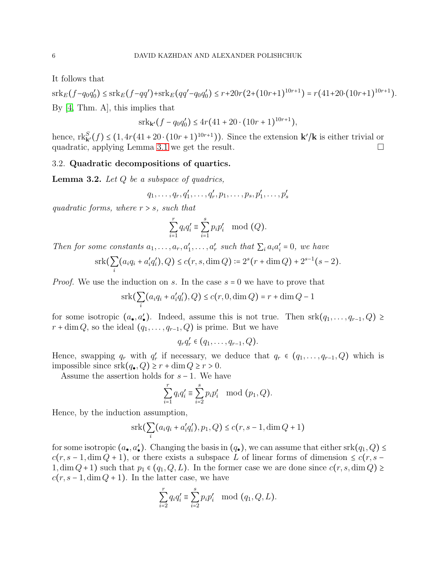It follows that

 $\operatorname{srk}_E(f-q_0q'_0) \leq \operatorname{srk}_E(f-qq') + \operatorname{srk}_E(qq'-q_0q'_0) \leq r+20r(2+(10r+1)^{10r+1}) = r(41+20\cdot(10r+1)^{10r+1}).$ By [\[4,](#page-11-2) Thm. A], this implies that

$$
\operatorname{srk}_{\mathbf{k}'}(f - q_0 q_0') \le 4r(41 + 20 \cdot (10r + 1)^{10r+1}),
$$

hence,  $\text{rk}_{\mathbf{k}'}^S(f) \leq (1, 4r(41+20\cdot(10r+1)^{10r+1}))$ . Since the extension  $\mathbf{k}'/\mathbf{k}$  is either trivial or quadratic, applying Lemma [3.1](#page-3-1) we get the result.

## <span id="page-5-1"></span>3.2. Quadratic decompositions of quartics.

<span id="page-5-0"></span>**Lemma 3.2.** Let  $Q$  be a subspace of quadrics,

$$
q_1,\ldots,q_r,q_1',\ldots,q_r',p_1,\ldots,p_s,p_1',\ldots,p_s'
$$

quadratic forms, where  $r > s$ , such that

$$
\sum_{i=1}^r q_i q_i' \equiv \sum_{i=1}^s p_i p_i' \mod (Q).
$$

Then for some constants  $a_1, \ldots, a_r, a'_1, \ldots, a'_r$  such that  $\sum_i a_i a'_i = 0$ , we have

$$
srk(\sum_{i}(a_iq_i + a'_iq'_i), Q) \le c(r, s, \dim Q) := 2^s(r + \dim Q) + 2^{s-1}(s-2).
$$

*Proof.* We use the induction on s. In the case  $s = 0$  we have to prove that

$$
\operatorname{srk}(\sum_{i} (a_i q_i + a'_i q'_i), Q) \le c(r, 0, \dim Q) = r + \dim Q - 1
$$

for some isotropic  $(a_{\bullet}, a'_{\bullet})$ . Indeed, assume this is not true. Then srk $(q_1, \ldots, q_{r-1}, Q) \ge$  $r + \dim Q$ , so the ideal  $(q_1, \ldots, q_{r-1}, Q)$  is prime. But we have

$$
q_r q'_r \in (q_1,\ldots,q_{r-1},Q).
$$

Hence, swapping  $q_r$  with  $q'_r$  if necessary, we deduce that  $q_r \in (q_1, \ldots, q_{r-1}, Q)$  which is impossible since  $srk(q_{\bullet}, Q) \geq r + \dim Q \geq r > 0$ .

Assume the assertion holds for  $s-1$ . We have

$$
\sum_{i=1}^{r} q_i q'_i \equiv \sum_{i=2}^{s} p_i p'_i \mod (p_1, Q).
$$

Hence, by the induction assumption,

$$
srk(\sum_{i}(a_iq_i + a'_iq'_i), p_1, Q) \le c(r, s - 1, \dim Q + 1)
$$

for some isotropic  $(a_{\bullet}, a'_{\bullet})$ . Changing the basis in  $(q_{\bullet})$ , we can assume that either srk $(q_1, Q) \le$  $c(r, s-1, \dim Q + 1)$ , or there exists a subspace L of linear forms of dimension  $\leq c(r, s-1)$  $1, \dim Q+1$ ) such that  $p_1 \in (q_1, Q, L)$ . In the former case we are done since  $c(r, s, \dim Q) \ge$  $c(r, s-1, \dim Q + 1)$ . In the latter case, we have

$$
\sum_{i=2}^{r} q_i q'_i \equiv \sum_{i=2}^{s} p_i p'_i \mod (q_1, Q, L).
$$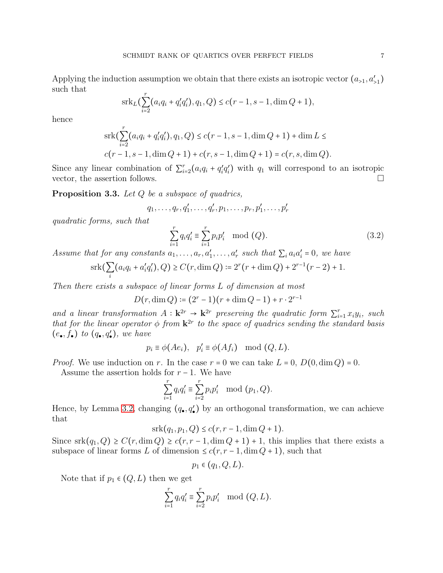Applying the induction assumption we obtain that there exists an isotropic vector  $(a_{>1}, a'_{>1})$ such that

$$
srkL(\sum_{i=2}^{r}(a_iq_i+q'_iq'_i), q_1, Q) \le c(r-1, s-1, \dim Q + 1),
$$

hence

$$
srk(\sum_{i=2}^{r} (a_iq_i + q'_iq'_i), q_1, Q) \le c(r - 1, s - 1, \dim Q + 1) + \dim L \le
$$
  

$$
c(r - 1, s - 1, \dim Q + 1) + c(r, s - 1, \dim Q + 1) = c(r, s, \dim Q).
$$

Since any linear combination of  $\sum_{i=2}^{r} (a_i q_i + q'_i q'_i)$  with  $q_1$  will correspond to an isotropic vector, the assertion follows.  $\Box$ 

<span id="page-6-1"></span>**Proposition 3.3.** Let  $Q$  be a subspace of quadrics,

$$
q_1, \ldots, q_r, q'_1, \ldots, q'_r, p_1, \ldots, p_r, p'_1, \ldots, p'_r
$$

quadratic forms, such that

<span id="page-6-0"></span>
$$
\sum_{i=1}^{r} q_i q_i' \equiv \sum_{i=1}^{r} p_i p_i' \mod (Q).
$$
 (3.2)

Assume that for any constants  $a_1, \ldots, a_r, a'_1, \ldots, a'_r$  such that  $\sum_i a_i a'_i = 0$ , we have

$$
srk(\sum_{i}(a_iq_i + a'_iq'_i), Q) \ge C(r, \dim Q) := 2^r(r + \dim Q) + 2^{r-1}(r-2) + 1.
$$

Then there exists a subspace of linear forms L of dimension at most

$$
D(r, \dim Q) \coloneqq (2^r - 1)(r + \dim Q - 1) + r \cdot 2^{r-1}
$$

and a linear transformation  $A: \mathbf{k}^{2r} \to \mathbf{k}^{2r}$  preserving the quadratic form  $\sum_{i=1}^{r} x_i y_i$ , such that for the linear operator  $\phi$  from  $\mathbf{k}^{2r}$  to the space of quadrics sending the standard basis  $(e_{\bullet}, f_{\bullet})$  to  $(q_{\bullet}, q'_{\bullet})$ , we have

$$
p_i \equiv \phi(Ae_i), \quad p'_i \equiv \phi(Af_i) \mod (Q, L).
$$

*Proof.* We use induction on r. In the case  $r = 0$  we can take  $L = 0$ ,  $D(0, \dim Q) = 0$ .

Assume the assertion holds for  $r - 1$ . We have

$$
\sum_{i=1}^{r} q_i q'_i \equiv \sum_{i=2}^{r} p_i p'_i \mod (p_1, Q).
$$

Hence, by Lemma [3.2,](#page-5-0) changing  $(q_{\bullet}, q'_{\bullet})$  by an orthogonal transformation, we can achieve that

$$
srk(q_1, p_1, Q) \le c(r, r-1, \dim Q + 1).
$$

Since  $srk(q_1, Q) \geq C(r, \dim Q) \geq c(r, r-1, \dim Q+1) + 1$ , this implies that there exists a subspace of linear forms L of dimension  $\leq c(r, r-1, \dim Q + 1)$ , such that

$$
p_1 \in (q_1, Q, L).
$$

Note that if  $p_1 \in (Q, L)$  then we get

$$
\sum_{i=1}^r q_i q_i' \equiv \sum_{i=2}^r p_i p_i' \mod (Q, L).
$$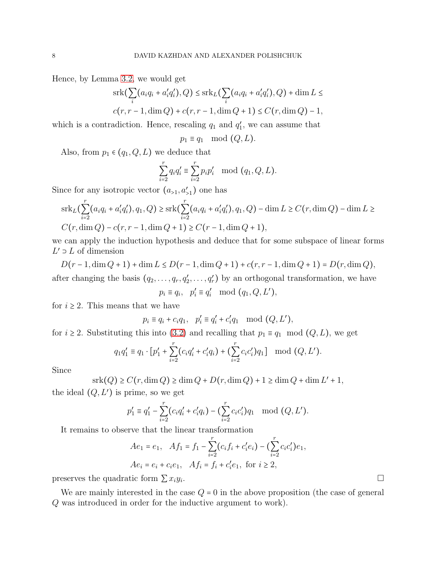Hence, by Lemma [3.2,](#page-5-0) we would get

$$
\operatorname{srk}(\sum_{i} (a_i q_i + a'_i q'_i), Q) \le \operatorname{srk}_L(\sum_{i} (a_i q_i + a'_i q'_i), Q) + \dim L \le
$$
  

$$
c(r, r - 1, \dim Q) + c(r, r - 1, \dim Q + 1) \le C(r, \dim Q) - 1,
$$

which is a contradiction. Hence, rescaling  $q_1$  and  $q'_1$ , we can assume that

$$
p_1 \equiv q_1 \mod (Q, L).
$$

Also, from  $p_1 \in (q_1, Q, L)$  we deduce that

$$
\sum_{i=2}^{r} q_i q_i' \equiv \sum_{i=2}^{r} p_i p_i' \mod (q_1, Q, L).
$$

Since for any isotropic vector  $(a_{>1}, a'_{>1})$  one has

$$
srk_L(\sum_{i=2}^r (a_iq_i + a'_iq'_i), q_1, Q) \geq srk(\sum_{i=2}^r (a_iq_i + a'_iq'_i), q_1, Q) - \dim L \geq C(r, \dim Q) - \dim L \geq
$$
  

$$
C(r, \dim Q) - c(r, r - 1, \dim Q + 1) \geq C(r - 1, \dim Q + 1),
$$

we can apply the induction hypothesis and deduce that for some subspace of linear forms  $L'$  ⊃ L of dimension

 $D(r-1, \dim Q + 1) + \dim L \le D(r-1, \dim Q + 1) + c(r, r-1, \dim Q + 1) = D(r, \dim Q),$ after changing the basis  $(q_2, \ldots, q_r, q'_2, \ldots, q'_r)$  by an orthogonal transformation, we have

$$
p_i \equiv q_i, \quad p'_i \equiv q'_i \mod (q_1, Q, L'),
$$

for  $i \geq 2$ . This means that we have

$$
p_i \equiv q_i + c_i q_1, \ \ p'_i \equiv q'_i + c'_i q_1 \mod (Q, L'),
$$

for  $i \geq 2$ . Substituting this into [\(3.2\)](#page-6-0) and recalling that  $p_1 \equiv q_1 \mod (Q, L)$ , we get

$$
q_1 q_1' \equiv q_1 \cdot [p_1' + \sum_{i=2}^r (c_i q_i' + c_i' q_i) + (\sum_{i=2}^r c_i c_i') q_1] \mod (Q, L').
$$

Since

$$
srk(Q) \ge C(r, \dim Q) \ge \dim Q + D(r, \dim Q) + 1 \ge \dim Q + \dim L' + 1,
$$

the ideal  $(Q, L')$  is prime, so we get

$$
p'_1 \equiv q'_1 - \sum_{i=2}^r (c_i q'_i + c'_i q_i) - \left(\sum_{i=2}^r c_i c'_i\right) q_1 \mod (Q, L').
$$

It remains to observe that the linear transformation

$$
Ae_1 = e_1, \quad Af_1 = f_1 - \sum_{i=2}^r (c_i f_i + c'_i e_i) - (\sum_{i=2}^r c_i c'_i) e_1,
$$
  

$$
Ae_i = e_i + c_i e_1, \quad Af_i = f_i + c'_i e_1, \text{ for } i \ge 2,
$$

preserves the quadratic form  $\sum x_i y_i$ .

We are mainly interested in the case  $Q = 0$  in the above proposition (the case of general Q was introduced in order for the inductive argument to work).

.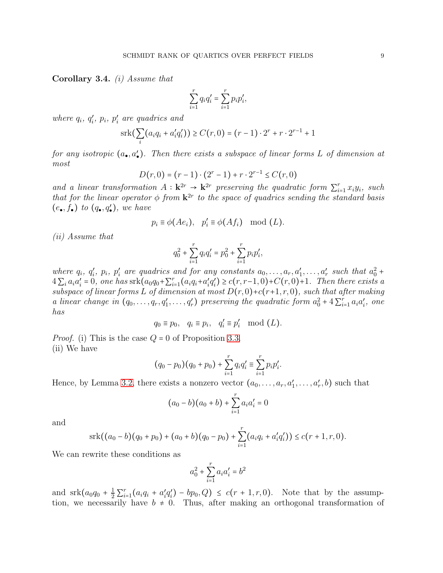<span id="page-8-0"></span>Corollary 3.4. (i) Assume that

$$
\sum_{i=1}^{r} q_i q'_i = \sum_{i=1}^{r} p_i p'_i,
$$

where  $q_i$ ,  $q'_i$ ,  $p_i$ ,  $p'_i$  are quadrics and

$$
srk(\sum_{i}(a_iq_i + a'_iq'_i)) \ge C(r, 0) = (r - 1) \cdot 2^r + r \cdot 2^{r-1} + 1
$$

for any isotropic  $(a_{\bullet}, a'_{\bullet})$ . Then there exists a subspace of linear forms L of dimension at most

$$
D(r,0) = (r-1) \cdot (2^r - 1) + r \cdot 2^{r-1} \le C(r,0)
$$

and a linear transformation  $A : \mathbf{k}^{2r} \to \mathbf{k}^{2r}$  preserving the quadratic form  $\sum_{i=1}^{r} x_i y_i$ , such that for the linear operator  $\phi$  from  $\mathbf{k}^{2r}$  to the space of quadrics sending the standard basis  $(e_{\bullet}, f_{\bullet})$  to  $(q_{\bullet}, q'_{\bullet})$ , we have

$$
p_i \equiv \phi(Ae_i), \quad p'_i \equiv \phi(Af_i) \mod (L).
$$

(ii) Assume that

$$
q_0^2 + \sum_{i=1}^r q_i q_i' = p_0^2 + \sum_{i=1}^r p_i p_i',
$$

where  $q_i, q'_i, p_i, p'_i$  are quadrics and for any constants  $a_0, \ldots, a_r, a'_1, \ldots, a'_r$  such that  $a_0^2$  +  $4\sum_{i} a_i a'_i = 0$ , one has  $srk(a_0q_0 + \sum_{i=1}^r (a_iq_i + a'_iq'_i) \ge c(r, r-1, 0) + C(r, 0) + 1$ . Then there exists a subspace of linear forms L of dimension at most  $D(r, 0)+c(r+1, r, 0)$ , such that after making a linear change in  $(q_0, \ldots, q_r, q'_1, \ldots, q'_r)$  preserving the quadratic form  $a_0^2 + 4 \sum_{i=1}^r a_i a'_i$ , one has

$$
q_0 \equiv p_0, \quad q_i \equiv p_i, \quad q'_i \equiv p'_i \mod (L).
$$

*Proof.* (i) This is the case  $Q = 0$  of Proposition [3.3.](#page-6-1) (ii) We have

$$
(q_0 - p_0)(q_0 + p_0) + \sum_{i=1}^r q_i q_i' \equiv \sum_{i=1}^r p_i p_i'.
$$

Hence, by Lemma [3.2,](#page-5-0) there exists a nonzero vector  $(a_0, \ldots, a_r, a'_1, \ldots, a'_r, b)$  such that

$$
(a_0 - b)(a_0 + b) + \sum_{i=1}^r a_i a'_i = 0
$$

and

$$
srk((a_0-b)(q_0+p_0)+(a_0+b)(q_0-p_0)+\sum_{i=1}^r(a_iq_i+a'_iq'_i))\leq c(r+1,r,0).
$$

We can rewrite these conditions as

$$
a_0^2 + \sum_{i=1}^r a_i a_i' = b^2
$$

and  $srk(a_0q_0 + \frac{1}{2}\sum_{i=1}^r (a_iq_i + a'_iq'_i) - bp_0, Q) \leq c(r+1, r, 0)$ . Note that by the assumption, we necessarily have  $b \neq 0$ . Thus, after making an orthogonal transformation of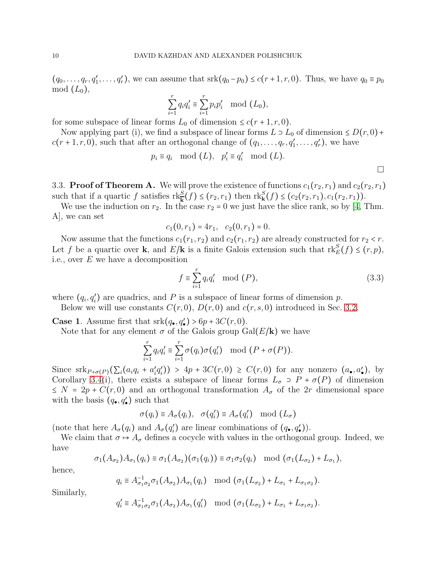$(q_0,\ldots,q_r,q'_1,\ldots,q'_r)$ , we can assume that  $srk(q_0-p_0) \leq c(r+1,r,0)$ . Thus, we have  $q_0 \equiv p_0$  $mod (L_0),$ 

$$
\sum_{i=1}^{r} q_i q'_i \equiv \sum_{i=1}^{r} p_i p'_i \mod (L_0),
$$

for some subspace of linear forms  $L_0$  of dimension  $\leq c(r+1,r,0)$ .

Now applying part (i), we find a subspace of linear forms  $L \supset L_0$  of dimension  $\leq D(r, 0)$ +  $c(r+1,r,0)$ , such that after an orthogonal change of  $(q_1,\ldots,q_r,q'_1,\ldots,q'_r)$ , we have

$$
p_i \equiv q_i \mod (L), \quad p'_i \equiv q'_i \mod (L).
$$

3.3. **Proof of Theorem A.** We will prove the existence of functions  $c_1(r_2, r_1)$  and  $c_2(r_2, r_1)$ such that if a quartic f satisfies  $\text{rk}_{\mathbf{k}}^{S}(f) \leq (r_2, r_1)$  then  $\text{rk}_{\mathbf{k}}^{S}(f) \leq (c_2(r_2, r_1), c_1(r_2, r_1))$ .

We use the induction on  $r_2$ . In the case  $r_2 = 0$  we just have the slice rank, so by [\[4,](#page-11-2) Thm. A], we can set

$$
c_1(0,r_1)=4r_1, c_2(0,r_1)=0.
$$

Now assume that the functions  $c_1(r_1, r_2)$  and  $c_2(r_1, r_2)$  are already constructed for  $r_2 < r$ . Let f be a quartic over **k**, and  $E/\mathbf{k}$  is a finite Galois extension such that  $\text{rk}_E^S(f) \leq (r, p)$ , i.e., over E we have a decomposition

<span id="page-9-0"></span>
$$
f \equiv \sum_{i=1}^{r} q_i q'_i \mod (P),\tag{3.3}
$$

 $\Box$ 

where  $(q_i, q'_i)$  are quadrics, and P is a subspace of linear forms of dimension p.

Below we will use constants  $C(r, 0), D(r, 0)$  and  $c(r, s, 0)$  introduced in Sec. [3.2.](#page-5-1)

**Case 1.** Assume first that  $srk(q_{\bullet}, q'_{\bullet}) > 6p + 3C(r, 0)$ .

Note that for any element  $\sigma$  of the Galois group Gal( $E/\mathbf{k}$ ) we have

$$
\sum_{i=1}^r q_i q_i' \equiv \sum_{i=1}^r \sigma(q_i) \sigma(q_i') \mod (P + \sigma(P)).
$$

Since  $\operatorname{srk}_{P+\sigma(P)}(\Sigma_i(a_iq_i+a'_iq'_i)) > 4p + 3C(r,0) \geq C(r,0)$  for any nonzero  $(a_{\bullet}, a'_{\bullet})$ , by Corollary [3.4\(](#page-8-0)i), there exists a subspace of linear forms  $L_{\sigma} \supset P + \sigma(P)$  of dimension  $\leq N = 2p + C(r, 0)$  and an orthogonal transformation  $A_{\sigma}$  of the 2r dimensional space with the basis  $(q_{\bullet}, q'_{\bullet})$  such that

$$
\sigma(q_i) \equiv A_{\sigma}(q_i), \quad \sigma(q_i') \equiv A_{\sigma}(q_i') \mod (L_{\sigma})
$$

(note that here  $A_{\sigma}(q_i)$  and  $A_{\sigma}(q'_i)$  are linear combinations of  $(q_{\bullet}, q'_{\bullet})$ ).

We claim that  $\sigma \mapsto A_{\sigma}$  defines a cocycle with values in the orthogonal group. Indeed, we have

$$
\sigma_1(A_{\sigma_2})A_{\sigma_1}(q_i) \equiv \sigma_1(A_{\sigma_2})(\sigma_1(q_i)) \equiv \sigma_1 \sigma_2(q_i) \mod (\sigma_1(L_{\sigma_2}) + L_{\sigma_1}),
$$

hence,

$$
q_i \equiv A_{\sigma_1 \sigma_2}^{-1} \sigma_1(A_{\sigma_2}) A_{\sigma_1}(q_i) \mod (\sigma_1(L_{\sigma_2}) + L_{\sigma_1} + L_{\sigma_1 \sigma_2}).
$$

Similarly,

$$
q_i' \equiv A_{\sigma_1 \sigma_2}^{-1} \sigma_1(A_{\sigma_2}) A_{\sigma_1}(q_i') \mod (\sigma_1(L_{\sigma_2}) + L_{\sigma_1} + L_{\sigma_1 \sigma_2}).
$$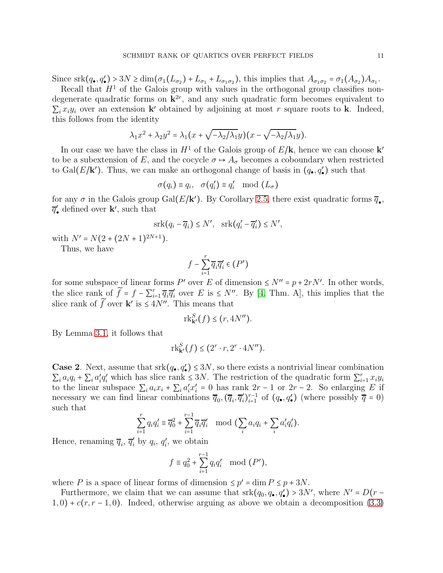Since  $\operatorname{srk}(q_{\bullet}, q'_{\bullet}) > 3N \ge \dim(\sigma_1(L_{\sigma_2}) + L_{\sigma_1} + L_{\sigma_1 \sigma_2})$ , this implies that  $A_{\sigma_1 \sigma_2} = \sigma_1(A_{\sigma_2})A_{\sigma_1}$ .

Recall that  $H<sup>1</sup>$  of the Galois group with values in the orthogonal group classifies nondegenerate quadratic forms on  $\mathbf{k}^{2r}$ , and any such quadratic form becomes equivalent to  $\sum_i x_i y_i$  over an extension **k**' obtained by adjoining at most r square roots to **k**. Indeed, this follows from the identity

$$
\lambda_1 x^2 + \lambda_2 y^2 = \lambda_1 (x + \sqrt{-\lambda_2/\lambda_1} y)(x - \sqrt{-\lambda_2/\lambda_1} y).
$$

In our case we have the class in  $H^1$  of the Galois group of  $E/\mathbf{k}$ , hence we can choose  $\mathbf{k}'$ to be a subextension of E, and the cocycle  $\sigma \mapsto A_{\sigma}$  becomes a coboundary when restricted to Gal( $E/\mathbf{k}'$ ). Thus, we can make an orthogonal change of basis in  $(q_{\bullet}, q'_{\bullet})$  such that

$$
\sigma(q_i) \equiv q_i, \quad \sigma(q'_i) \equiv q'_i \mod (L_{\sigma})
$$

for any  $\sigma$  in the Galois group Gal( $E/\mathbf{k}'$ ). By Corollary [2.5,](#page-3-0) there exist quadratic forms  $\overline{q}_{\bullet}$ ,  $\overline{q}'_{\bullet}$  defined over **k**', such that

$$
srk(q_i - \overline{q}_i) \le N', \quad srk(q'_i - \overline{q}'_i) \le N',
$$

with  $N' = N(2 + (2N + 1)^{2N+1})$ .

Thus, we have

$$
f - \sum_{i=1}^r \overline{q}_i \overline{q}'_i \in (P')
$$

for some subspace of linear forms P' over E of dimension  $\leq N'' = p + 2rN'$ . In other words, the slice rank of  $\tilde{f} = f - \sum_{i=1}^r \overline{q}_i \overline{q}'_i$  over E is  $\leq N''$ . By [\[4,](#page-11-2) Thm. A], this implies that the slice rank of  $\widetilde{f}$  over **k**' is  $\leq 4N''$ . This means that

$$
\mathrm{rk}_{\mathbf{k}'}^S(f) \le (r, 4N'').
$$

By Lemma [3.1,](#page-3-1) it follows that

$$
\mathrm{rk}_{\mathbf{k}'}^S(f) \leq (2^r \cdot r, 2^r \cdot 4N'').
$$

**Case 2.** Next, assume that  $srk(q_{\bullet}, q_{\bullet}') \leq 3N$ , so there exists a nontrivial linear combination  $\sum_i a_i q_i + \sum_i a'_i q'_i$  which has slice rank  $\leq 3N$ . The restriction of the quadratic form  $\sum_{i=1}^r x_i y_i$ to the linear subspace  $\sum_i a_i x_i + \sum_i a'_i x'_i = 0$  has rank  $2r - 1$  or  $2r - 2$ . So enlarging E if necessary we can find linear combinations  $\overline{q}_0$ ,  $(\overline{q}_i, \overline{q}'_i)_{i=1}^{r-1}$  of  $(q_{\bullet}, q'_{\bullet})$  (where possibly  $\overline{q} = 0$ ) such that

$$
\sum_{i=1}^r q_i q_i' \equiv \overline{q}_0^2 + \sum_{i=1}^{r-1} \overline{q}_i \overline{q}_i' \mod \big(\sum_i a_i q_i + \sum_i a_i' q_i' \big).
$$

Hence, renaming  $\overline{q}_i$ ,  $\overline{q}'_i$  by  $q_i$ ,  $q'_i$ , we obtain

$$
f \equiv q_0^2 + \sum_{i=1}^{r-1} q_i q'_i \mod (P'),
$$

where P is a space of linear forms of dimension  $\leq p' = \dim P \leq p + 3N$ .

Furthermore, we claim that we can assume that  $srk(q_0, q_0, q'_0) > 3N'$ , where  $N' = D(r - q_0)$  $1, 0$ ) +  $c(r, r - 1, 0)$ . Indeed, otherwise arguing as above we obtain a decomposition [\(3.3\)](#page-9-0)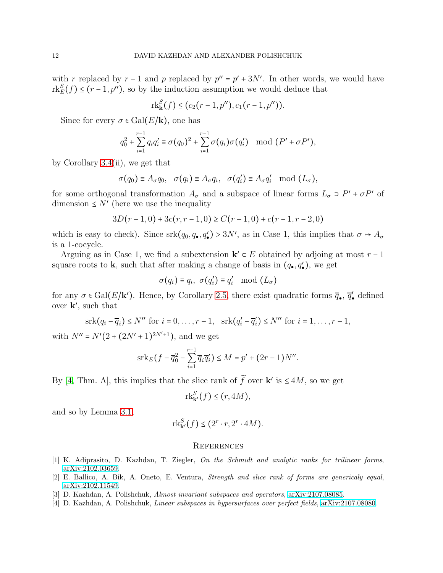with r replaced by  $r - 1$  and p replaced by  $p'' = p' + 3N'$ . In other words, we would have  $rk_E^S(f) \leq (r-1, p'')$ , so by the induction assumption we would deduce that

$$
\mathrm{rk}_{\mathbf{k}}^{S}(f) \leq (c_2(r-1,p''),c_1(r-1,p'')).
$$

Since for every  $\sigma \in \text{Gal}(E/\mathbf{k})$ , one has

$$
q_0^2 + \sum_{i=1}^{r-1} q_i q_i' \equiv \sigma(q_0)^2 + \sum_{i=1}^{r-1} \sigma(q_i) \sigma(q_i') \mod (P' + \sigma P'),
$$

by Corollary [3.4\(](#page-8-0)ii), we get that

$$
\sigma(q_0) \equiv A_{\sigma} q_0, \quad \sigma(q_i) \equiv A_{\sigma} q_i, \quad \sigma(q'_i) \equiv A_{\sigma} q'_i \mod (L_{\sigma}),
$$

for some orthogonal transformation  $A_{\sigma}$  and a subspace of linear forms  $L_{\sigma} \supset P' + \sigma P'$  of dimension  $\leq N'$  (here we use the inequality

$$
3D(r-1,0) + 3c(r,r-1,0) \ge C(r-1,0) + c(r-1,r-2,0)
$$

which is easy to check). Since  $srk(q_0, q_{\bullet}, q'_{\bullet}) > 3N'$ , as in Case 1, this implies that  $\sigma \mapsto A_{\sigma}$ is a 1-cocycle.

Arguing as in Case 1, we find a subextension  $\mathbf{k}' \subset E$  obtained by adjoing at most  $r - 1$ square roots to **k**, such that after making a change of basis in  $(q_{\bullet}, q'_{\bullet})$ , we get

$$
\sigma(q_i) \equiv q_i, \ \sigma(q'_i) \equiv q'_i \mod (L_{\sigma})
$$

for any  $\sigma \in \text{Gal}(E/\mathbf{k}')$ . Hence, by Corollary [2.5,](#page-3-0) there exist quadratic forms  $\overline{q}_{\bullet}$ ,  $\overline{q}'_{\bullet}$  defined over k ′ , such that

$$
\mathrm{srk}(q_i - \overline{q}_i) \le N'' \text{ for } i = 0, \dots, r - 1, \quad \mathrm{srk}(q'_i - \overline{q}'_i) \le N'' \text{ for } i = 1, \dots, r - 1,
$$

with  $N'' = N'(2 + (2N' + 1)^{2N'+1})$ , and we get

$$
\operatorname{srk}_E(f - \overline{q}_0^2 - \sum_{i=1}^{r-1} \overline{q}_i \overline{q}_i') \le M = p' + (2r - 1)N''.
$$

By [\[4,](#page-11-2) Thm. A], this implies that the slice rank of  $\tilde{f}$  over **k**' is  $\leq 4M$ , so we get

$$
\mathrm{rk}_{\mathbf{k}'}^S(f) \leq (r, 4M),
$$

and so by Lemma [3.1,](#page-3-1)

$$
\mathrm{rk}_{\mathbf{k}'}^S(f) \leq (2^r \cdot r, 2^r \cdot 4M).
$$

# **REFERENCES**

- <span id="page-11-1"></span><span id="page-11-0"></span>[1] K. Adiprasito, D. Kazhdan, T. Ziegler, On the Schmidt and analytic ranks for trilinear forms, [arXiv:2102.03659.](http://arxiv.org/abs/2102.03659)
- <span id="page-11-3"></span>[2] E. Ballico, A. Bik, A. Oneto, E. Ventura, Strength and slice rank of forms are genericaly equal, [arXiv:2102.11549.](http://arxiv.org/abs/2102.11549)
- <span id="page-11-2"></span>[3] D. Kazhdan, A. Polishchuk, Almost invariant subspaces and operators, [arXiv:2107.08085.](http://arxiv.org/abs/2107.08085)
- [4] D. Kazhdan, A. Polishchuk, Linear subspaces in hypersurfaces over perfect fields, [arXiv:2107.08080.](http://arxiv.org/abs/2107.08080)